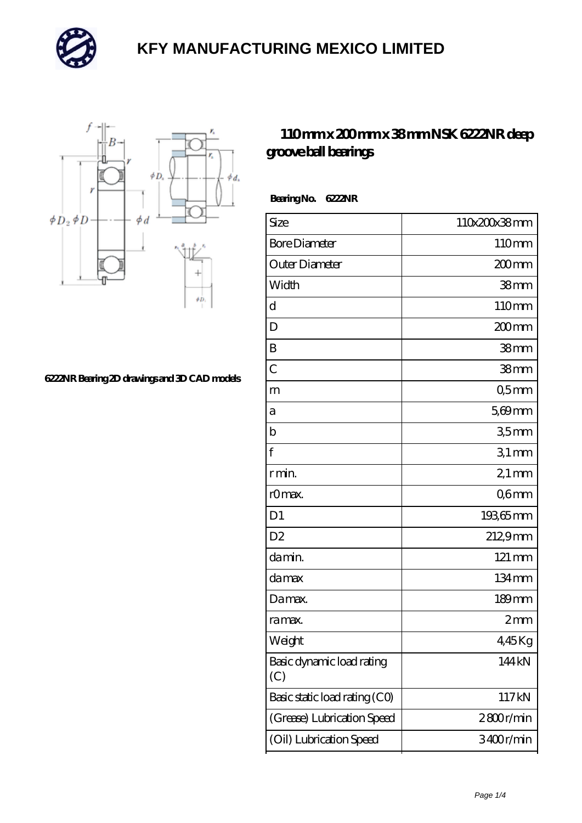



**[6222NR Bearing 2D drawings and 3D CAD models](https://m.mailemotion.tv/pic-412459.html)**

#### **[110 mm x 200 mm x 38 mm NSK 6222NR deep](https://m.mailemotion.tv/bz-412459-nsk-6222nr-deep-groove-ball-bearings.html) [groove ball bearings](https://m.mailemotion.tv/bz-412459-nsk-6222nr-deep-groove-ball-bearings.html)**

 **Bearing No. 6222NR**

| Size                             | 110x200x38mm       |
|----------------------------------|--------------------|
| <b>Bore Diameter</b>             | 110mm              |
| Outer Diameter                   | 200 <sub>mm</sub>  |
| Width                            | 38 <sub>mm</sub>   |
| d                                | 110mm              |
| D                                | 200mm              |
| B                                | 38mm               |
| $\overline{C}$                   | 38 <sub>mm</sub>   |
| m                                | Q5mm               |
| а                                | 5,69mm             |
| b                                | 35mm               |
| f                                | $31$ mm            |
| r min.                           | $21 \,\mathrm{mm}$ |
| r0max.                           | Q6mm               |
| D <sub>1</sub>                   | 19365mm            |
| D <sub>2</sub>                   | 212,9mm            |
| da min.                          | 121 mm             |
| damax                            | 134mm              |
| Damax.                           | 189mm              |
| ra max.                          | 2mm                |
| Weight                           | 445Kg              |
| Basic dynamic load rating<br>(C) | 144kN              |
| Basic static load rating (CO)    | 117kN              |
| (Grease) Lubrication Speed       | 2800r/min          |
| (Oil) Lubrication Speed          | 3400r/min          |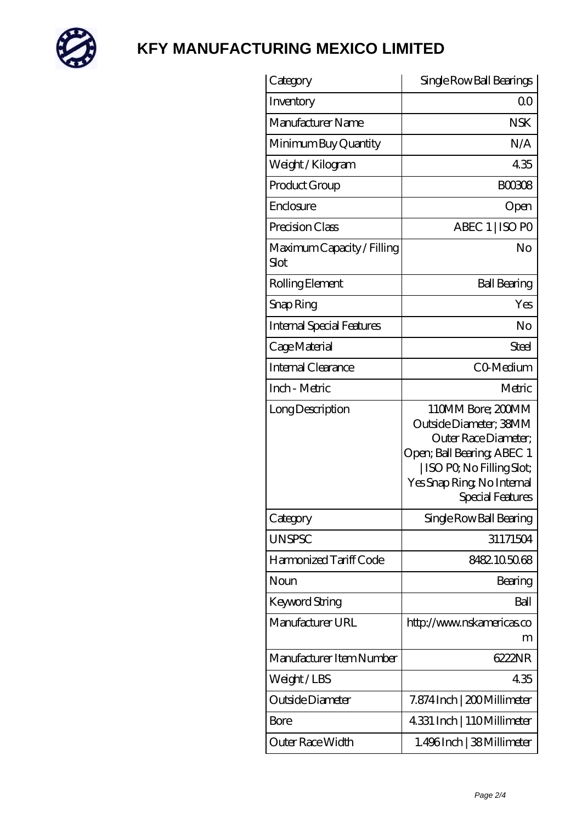

| Category                           | Single Row Ball Bearings                                                                                                                                                         |
|------------------------------------|----------------------------------------------------------------------------------------------------------------------------------------------------------------------------------|
| Inventory                          | Q0                                                                                                                                                                               |
| Manufacturer Name                  | <b>NSK</b>                                                                                                                                                                       |
| Minimum Buy Quantity               | N/A                                                                                                                                                                              |
| Weight / Kilogram                  | 435                                                                                                                                                                              |
| Product Group                      | <b>BOO3O8</b>                                                                                                                                                                    |
| Enclosure                          | Open                                                                                                                                                                             |
| Precision Class                    | ABEC 1   ISO PO                                                                                                                                                                  |
| Maximum Capacity / Filling<br>Slot | No                                                                                                                                                                               |
| Rolling Element                    | <b>Ball Bearing</b>                                                                                                                                                              |
| Snap Ring                          | Yes                                                                                                                                                                              |
| <b>Internal Special Features</b>   | No                                                                                                                                                                               |
| Cage Material                      | Steel                                                                                                                                                                            |
| Internal Clearance                 | CO-Medium                                                                                                                                                                        |
| Inch - Metric                      | Metric                                                                                                                                                                           |
| Long Description                   | 110MM Bore; 200MM<br>Outside Diameter; 38MM<br>Outer Race Diameter;<br>Open; Ball Bearing; ABEC 1<br>  ISO PQ No Filling Slot;<br>Yes Snap Ring, No Internal<br>Special Features |
| Category                           | Single Row Ball Bearing                                                                                                                                                          |
| <b>UNSPSC</b>                      | 31171504                                                                                                                                                                         |
| Harmonized Tariff Code             | 8482105068                                                                                                                                                                       |
| Noun                               | Bearing                                                                                                                                                                          |
| Keyword String                     | Ball                                                                                                                                                                             |
| Manufacturer URL                   | http://www.nskamericas.co<br>m                                                                                                                                                   |
| Manufacturer Item Number           | 6222NR                                                                                                                                                                           |
| Weight/LBS                         | 435                                                                                                                                                                              |
| Outside Diameter                   | 7.874 Inch   200 Millimeter                                                                                                                                                      |
| Bore                               | 4.331 Inch   110Millimeter                                                                                                                                                       |
| Outer Race Width                   | 1.496Inch   38Millimeter                                                                                                                                                         |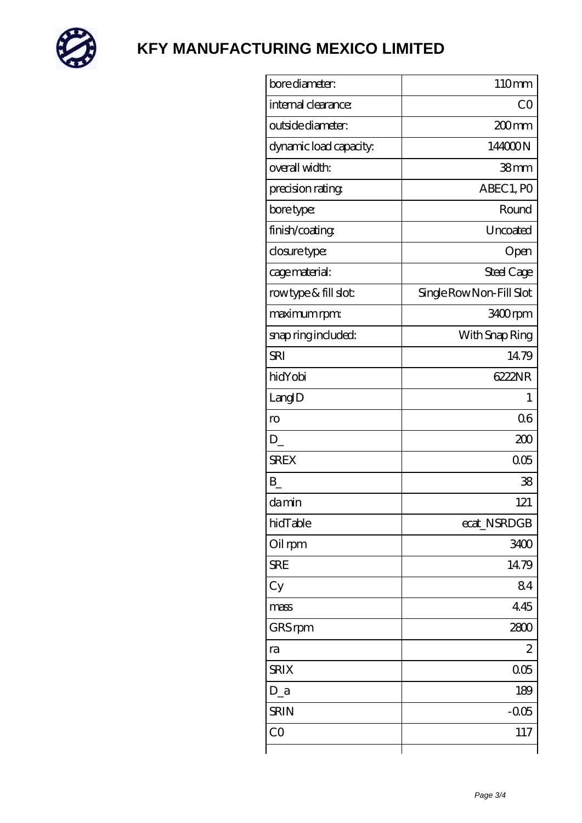

| bore diameter:             | 110mm                    |
|----------------------------|--------------------------|
| internal clearance:        | CO                       |
| outside diameter:          | 200 <sub>mm</sub>        |
| dynamic load capacity.     | 144000N                  |
| overall width:             | 38mm                     |
| precision rating           | ABEC 1, PO               |
| bore type:                 | Round                    |
| finish/coating             | Uncoated                 |
| closure type:              | Open                     |
| cage material:             | Steel Cage               |
| rowtype & fill slot:       | Single Row Non-Fill Slot |
| maximum rpm:               | 3400rpm                  |
| snap ring included:        | With Snap Ring           |
| <b>SRI</b>                 | 14.79                    |
| hidYobi                    | 6222NR                   |
| LangID                     | 1                        |
| $\mathop{\rm ro}\nolimits$ | 06                       |
| D                          | 200                      |
| <b>SREX</b>                | 005                      |
| B                          | 38                       |
| damin                      | 121                      |
| hidTable                   | ecat_NSRDGB              |
| Oil rpm                    | 3400                     |
| <b>SRE</b>                 | 1479                     |
| Cy                         | 84                       |
| mass                       | 445                      |
| GRS rpm                    | 2800                     |
| ra                         | 2                        |
| <b>SRIX</b>                | 005                      |
| $D_a$                      | 189                      |
| <b>SRIN</b>                | $-0.05$                  |
| CO                         | 117                      |
|                            |                          |